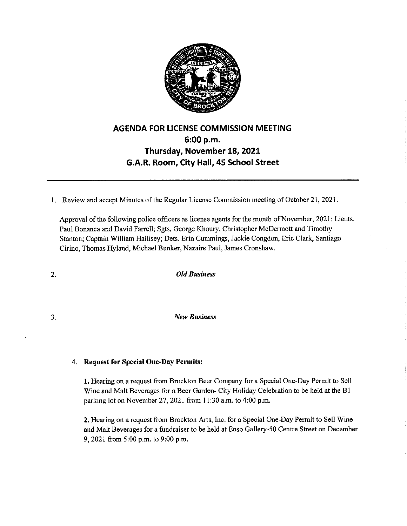

## **AGENDA FOR LICENSE COMMISSION MEETING 6:00 p.m. Thursday, November 18, 2021 G.A.R. Room, City Hall, 45 School Street**

I. Review and accept Minutes of the Regular License Commission meeting of October 21, 2021.

Approval of the following police officers as license agents for the month of November, 2021: Lieuts. Paul Bonanca and David Farrell; Sgts, George Khoury, Christopher McDermott and Timothy Stanton; Captain William Hallisey; Dets. Erin Cummings, Jackie Congdon, Eric Clark, Santiago Cirino, Thomas Hyland, Michael Bunker, Nazaire Paul, James Cronshaw.

2. *Old Business* 

3. *New Business* 

## 4. **Request for Special One-Day Permits:**

**1.** Hearing on a request from Brockton Beer Company for a Special One-Day Permit to Sell Wine and Malt Beverages for a Beer Garden- City Holiday Celebration to be held at the BI parking lot on November 27, 2021 from 11:30 a.m. to 4:00 p.m.

**2.** Hearing on a request from Brockton Arts, Inc. for a Special One-Day Permit to Sell Wine and Malt Beverages for a fundraiser to be held at Enso Gallery-50 Centre Street on December 9, 2021 from 5:00 p.m. to 9:00 p.m.